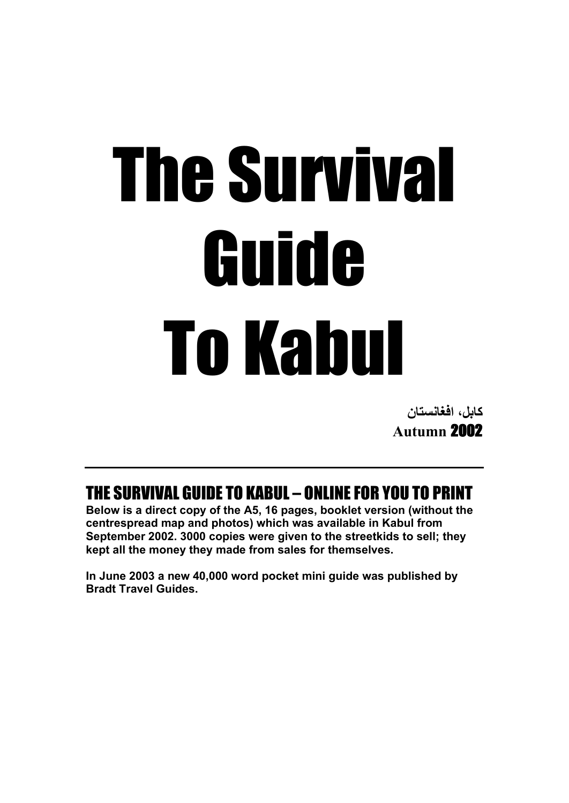# The Survival Guide To Kabul

**كابل، افغانستان Autumn** 2002

THE SURVIVAL GUIDE TO KABUL – ONLINE FOR YOU TO PRINT

**Below is a direct copy of the A5, 16 pages, booklet version (without the centrespread map and photos) which was available in Kabul from September 2002. 3000 copies were given to the streetkids to sell; they kept all the money they made from sales for themselves.**

**In June 2003 a new 40,000 word pocket mini guide was published by [Bradt Travel Guides.](http://www.bradt-travelguides.com/)**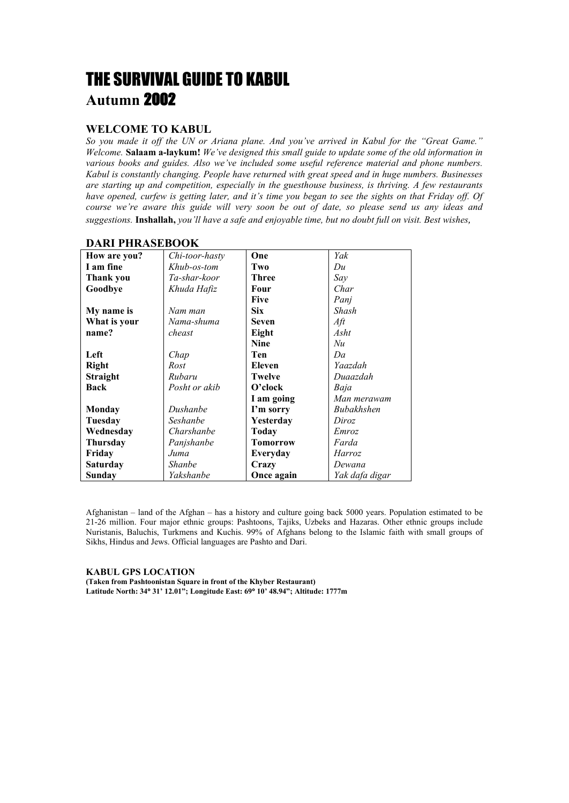# THE SURVIVAL GUIDE TO KABUL **Autumn** 2002

# **WELCOME TO KABUL**

*So you made it off the UN or Ariana plane. And you've arrived in Kabul for the "Great Game." Welcome.* **Salaam a-laykum!** *We've designed this small guide to update some of the old information in various books and guides. Also we've included some useful reference material and phone numbers. Kabul is constantly changing. People have returned with great speed and in huge numbers. Businesses are starting up and competition, especially in the guesthouse business, is thriving. A few restaurants have opened, curfew is getting later, and it's time you began to see the sights on that Friday off. Of course we're aware this guide will very soon be out of date, so please send us any ideas and suggestions.* **Inshallah,** *you'll have a safe and enjoyable time, but no doubt full on visit. Best wishes,*

| *********************** |                |                 |                |
|-------------------------|----------------|-----------------|----------------|
| How are you?            | Chi-toor-hasty | One             | Yak            |
| I am fine               | Khub-os-tom    | Two             | Du             |
| Thank you               | Ta-shar-koor   | <b>Three</b>    | Say            |
| Goodbye                 | Khuda Hafiz    | Four            | Char           |
|                         |                | <b>Five</b>     | Panj           |
| My name is              | Nam man        | <b>Six</b>      | Shash          |
| What is your            | Nama-shuma     | <b>Seven</b>    | $Af\!t$        |
| name?                   | cheast         | Eight           | Asht           |
|                         |                | <b>Nine</b>     | Nu             |
| Left                    | Chap           | Ten             | Da             |
| <b>Right</b>            | Rost           | Eleven          | Yaazdah        |
| <b>Straight</b>         | Rubaru         | <b>Twelve</b>   | Duaazdah       |
| Back                    | Posht or akib  | $O$ 'clock      | Baja           |
|                         |                | I am going      | Man merawam    |
| <b>Monday</b>           | Dushanbe       | I'm sorry       | Bubakhshen     |
| Tuesday                 | Seshanbe       | Yesterday       | Diroz          |
| Wednesday               | Charshanbe     | Today           | Emroz          |
| <b>Thursday</b>         | Panjshanbe     | <b>Tomorrow</b> | Farda          |
| Friday                  | Juma           | Everyday        | Harroz         |
| <b>Saturday</b>         | Shanbe         | Crazy           | Dewana         |
| Sunday                  | Yakshanbe      | Once again      | Yak dafa digar |

# **DARI PHRASEBOOK**

Afghanistan – land of the Afghan – has a history and culture going back 5000 years. Population estimated to be 21-26 million. Four major ethnic groups: Pashtoons, Tajiks, Uzbeks and Hazaras. Other ethnic groups include Nuristanis, Baluchis, Turkmens and Kuchis. 99% of Afghans belong to the Islamic faith with small groups of Sikhs, Hindus and Jews. Official languages are Pashto and Dari.

**KABUL GPS LOCATION (Taken from Pashtoonistan Square in front of the Khyber Restaurant) Latitude North: 34**° **31' 12.01"; Longitude East: 69**° **10' 48.94"; Altitude: 1777m**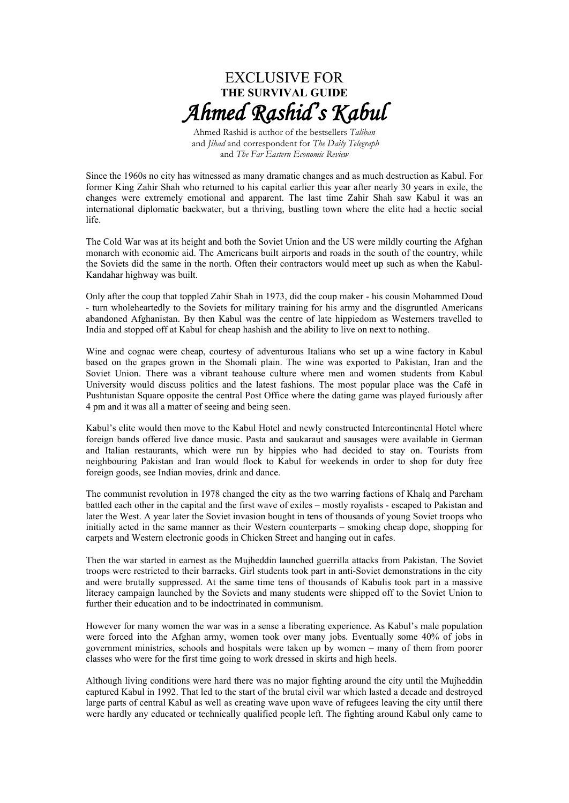

Ahmed Rashid is author of the bestsellers *Taliban* and *Jihad* and correspondent for *The Daily Telegraph* and *The Far Eastern Economic Review*

Since the 1960s no city has witnessed as many dramatic changes and as much destruction as Kabul. For former King Zahir Shah who returned to his capital earlier this year after nearly 30 years in exile, the changes were extremely emotional and apparent. The last time Zahir Shah saw Kabul it was an international diplomatic backwater, but a thriving, bustling town where the elite had a hectic social life.

The Cold War was at its height and both the Soviet Union and the US were mildly courting the Afghan monarch with economic aid. The Americans built airports and roads in the south of the country, while the Soviets did the same in the north. Often their contractors would meet up such as when the Kabul-Kandahar highway was built.

Only after the coup that toppled Zahir Shah in 1973, did the coup maker - his cousin Mohammed Doud - turn wholeheartedly to the Soviets for military training for his army and the disgruntled Americans abandoned Afghanistan. By then Kabul was the centre of late hippiedom as Westerners travelled to India and stopped off at Kabul for cheap hashish and the ability to live on next to nothing.

Wine and cognac were cheap, courtesy of adventurous Italians who set up a wine factory in Kabul based on the grapes grown in the Shomali plain. The wine was exported to Pakistan, Iran and the Soviet Union. There was a vibrant teahouse culture where men and women students from Kabul University would discuss politics and the latest fashions. The most popular place was the Café in Pushtunistan Square opposite the central Post Office where the dating game was played furiously after 4 pm and it was all a matter of seeing and being seen.

Kabul's elite would then move to the Kabul Hotel and newly constructed Intercontinental Hotel where foreign bands offered live dance music. Pasta and saukaraut and sausages were available in German and Italian restaurants, which were run by hippies who had decided to stay on. Tourists from neighbouring Pakistan and Iran would flock to Kabul for weekends in order to shop for duty free foreign goods, see Indian movies, drink and dance.

The communist revolution in 1978 changed the city as the two warring factions of Khalq and Parcham battled each other in the capital and the first wave of exiles – mostly royalists - escaped to Pakistan and later the West. A year later the Soviet invasion bought in tens of thousands of young Soviet troops who initially acted in the same manner as their Western counterparts – smoking cheap dope, shopping for carpets and Western electronic goods in Chicken Street and hanging out in cafes.

Then the war started in earnest as the Mujheddin launched guerrilla attacks from Pakistan. The Soviet troops were restricted to their barracks. Girl students took part in anti-Soviet demonstrations in the city and were brutally suppressed. At the same time tens of thousands of Kabulis took part in a massive literacy campaign launched by the Soviets and many students were shipped off to the Soviet Union to further their education and to be indoctrinated in communism.

However for many women the war was in a sense a liberating experience. As Kabul's male population were forced into the Afghan army, women took over many jobs. Eventually some 40% of jobs in government ministries, schools and hospitals were taken up by women – many of them from poorer classes who were for the first time going to work dressed in skirts and high heels.

Although living conditions were hard there was no major fighting around the city until the Mujheddin captured Kabul in 1992. That led to the start of the brutal civil war which lasted a decade and destroyed large parts of central Kabul as well as creating wave upon wave of refugees leaving the city until there were hardly any educated or technically qualified people left. The fighting around Kabul only came to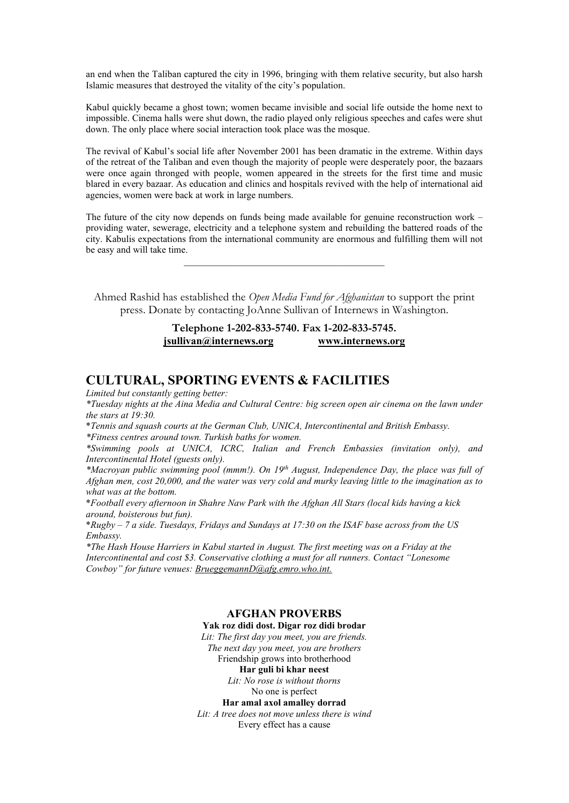an end when the Taliban captured the city in 1996, bringing with them relative security, but also harsh Islamic measures that destroyed the vitality of the city's population.

Kabul quickly became a ghost town; women became invisible and social life outside the home next to impossible. Cinema halls were shut down, the radio played only religious speeches and cafes were shut down. The only place where social interaction took place was the mosque.

The revival of Kabul's social life after November 2001 has been dramatic in the extreme. Within days of the retreat of the Taliban and even though the majority of people were desperately poor, the bazaars were once again thronged with people, women appeared in the streets for the first time and music blared in every bazaar. As education and clinics and hospitals revived with the help of international aid agencies, women were back at work in large numbers.

The future of the city now depends on funds being made available for genuine reconstruction work – providing water, sewerage, electricity and a telephone system and rebuilding the battered roads of the city. Kabulis expectations from the international community are enormous and fulfilling them will not be easy and will take time.

 $\_$  . The contribution of the contribution of  $\mathcal{L}_\mathcal{A}$ 

Ahmed Rashid has established the *Open Media Fund for Afghanistan* to support the print press. Donate by contacting JoAnne Sullivan of Internews in Washington.

# **Telephone 1-202-833-5740. Fax 1-202-833-5745. [jsullivan@internews.org](mailto:jsullivan@internews.org) [www.internews.org](http://www.internews.org/)**

# **CULTURAL, SPORTING EVENTS & FACILITIES**

*Limited but constantly getting better:*

*\*Tuesday nights at the Aina Media and Cultural Centre: big screen open air cinema on the lawn under the stars at 19:30.*

\**Tennis and squash courts at the German Club, UNICA, Intercontinental and British Embassy. \*Fitness centres around town. Turkish baths for women.*

*\*Swimming pools at UNICA, ICRC, Italian and French Embassies (invitation only), and Intercontinental Hotel (guests only).*

*\*Macroyan public swimming pool (mmm!). On 19th August, Independence Day, the place was full of Afghan men, cost 20,000, and the water was very cold and murky leaving little to the imagination as to what was at the bottom.*

\**Football every afternoon in Shahre Naw Park with the Afghan All Stars (local kids having a kick around, boisterous but fun).*

\**Rugby – 7 a side. Tuesdays, Fridays and Sundays at 17:30 on the ISAF base across from the US Embassy.*

*\*The Hash House Harriers in Kabul started in August. The first meeting was on a Friday at the Intercontinental and cost \$3. Conservative clothing a must for all runners. Contact "Lonesome Cowboy" for future venues: [BrueggemannD@afg.emro.who.int.](mailto:BrueggemannD@afg.emro.who.int)*

# **AFGHAN PROVERBS**

**Yak roz didi dost. Digar roz didi brodar**

*Lit: The first day you meet, you are friends.*

*The next day you meet, you are brothers* Friendship grows into brotherhood

**Har guli bi khar neest**

*Lit: No rose is without thorns*

No one is perfect

**Har amal axol amalley dorrad**

*Lit: A tree does not move unless there is wind*

Every effect has a cause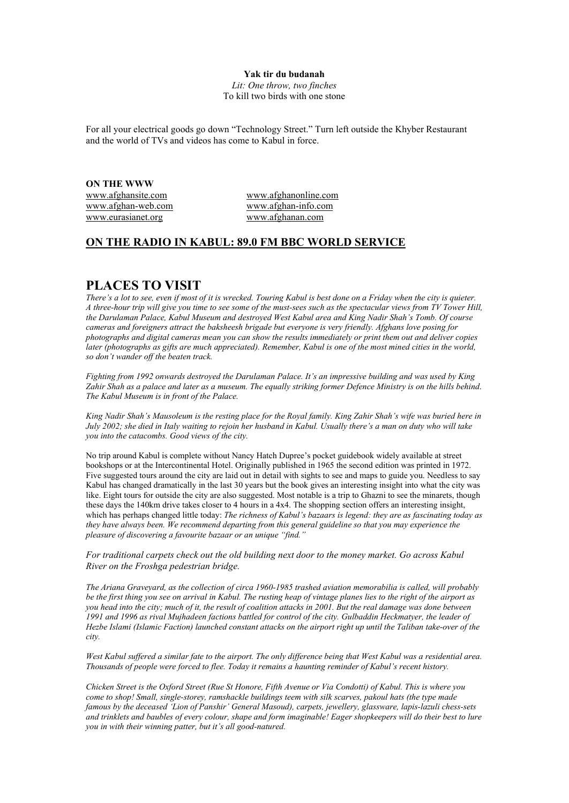### **Yak tir du budanah**

*Lit: One throw, two finches* To kill two birds with one stone

For all your electrical goods go down "Technology Street." Turn left outside the Khyber Restaurant and the world of TVs and videos has come to Kabul in force.

**ON THE WWW** [www.afghansite.com](http://www.afghansite.com/) [www.afghanonline.com](http://www.afghanonline.com/) [www.afghan-web.com](http://www.afghan-web.com/) [www.afghan-info.com](http://www.afghan-info.com/) [www.eurasianet.org](http://www.eurasianet.org/) [www.afghanan.com](http://www.afghanan.com/)

# **ON THE RADIO IN KABUL: 89.0 FM BBC WORLD SERVICE**

# **PLACES TO VISIT**

*There's a lot to see, even if most of it is wrecked. Touring Kabul is best done on a Friday when the city is quieter. A three-hour trip will give you time to see some of the must-sees such as the spectacular views from TV Tower Hill, the Darulaman Palace, Kabul Museum and destroyed West Kabul area and King Nadir Shah's Tomb. Of course cameras and foreigners attract the baksheesh brigade but everyone is very friendly. Afghans love posing for photographs and digital cameras mean you can show the results immediately or print them out and deliver copies later (photographs as gifts are much appreciated). Remember, Kabul is one of the most mined cities in the world, so don't wander off the beaten track.*

*Fighting from 1992 onwards destroyed the Darulaman Palace. It's an impressive building and was used by King Zahir Shah as a palace and later as a museum. The equally striking former Defence Ministry is on the hills behind*. *The Kabul Museum is in front of the Palace.*

*King Nadir Shah's Mausoleum is the resting place for the Royal family. King Zahir Shah's wife was buried here in July 2002; she died in Italy waiting to rejoin her husband in Kabul. Usually there's a man on duty who will take you into the catacombs. Good views of the city.*

No trip around Kabul is complete without Nancy Hatch Dupree's pocket guidebook widely available at street bookshops or at the Intercontinental Hotel. Originally published in 1965 the second edition was printed in 1972. Five suggested tours around the city are laid out in detail with sights to see and maps to guide you. Needless to say Kabul has changed dramatically in the last 30 years but the book gives an interesting insight into what the city was like. Eight tours for outside the city are also suggested. Most notable is a trip to Ghazni to see the minarets, though these days the 140km drive takes closer to 4 hours in a 4x4. The shopping section offers an interesting insight, which has perhaps changed little today: *The richness of Kabul's bazaars is legend: they are as fascinating today as they have always been. We recommend departing from this general guideline so that you may experience the pleasure of discovering a favourite bazaar or an unique "find."*

*For traditional carpets check out the old building next door to the money market. Go across Kabul River on the Froshga pedestrian bridge.*

*The Ariana Graveyard, as the collection of circa 1960-1985 trashed aviation memorabilia is called, will probably be the first thing you see on arrival in Kabul. The rusting heap of vintage planes lies to the right of the airport as you head into the city; much of it, the result of coalition attacks in 2001. But the real damage was done between*  1991 and 1996 as rival Mujhadeen factions battled for control of the city. Gulbaddin Heckmatyer, the leader of *Hezbe Islami (Islamic Faction) launched constant attacks on the airport right up until the Taliban take-over of the city.* 

*West Kabul suffered a similar fate to the airport. The only difference being that West Kabul was a residential area. Thousands of people were forced to flee. Today it remains a haunting reminder of Kabul's recent history.*

*Chicken Street is the Oxford Street (Rue St Honore, Fifth Avenue or Via Condotti) of Kabul. This is where you come to shop! Small, single-storey, ramshackle buildings teem with silk scarves, pakoul hats (the type made famous by the deceased 'Lion of Panshir' General Masoud), carpets, jewellery, glassware, lapis-lazuli chess-sets and trinklets and baubles of every colour, shape and form imaginable! Eager shopkeepers will do their best to lure you in with their winning patter, but it's all good-natured.*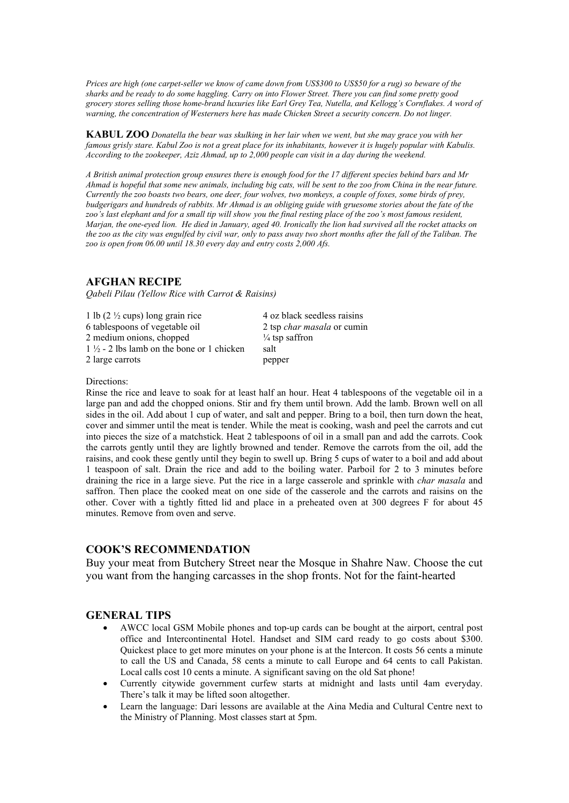*Prices are high (one carpet-seller we know of came down from US\$300 to US\$50 for a rug) so beware of the sharks and be ready to do some haggling. Carry on into Flower Street. There you can find some pretty good grocery stores selling those home-brand luxuries like Earl Grey Tea, Nutella, and Kellogg's Cornflakes. A word of warning, the concentration of Westerners here has made Chicken Street a security concern. Do not linger.*

**KABUL ZOO** *Donatella the bear was skulking in her lair when we went, but she may grace you with her famous grisly stare. Kabul Zoo is not a great place for its inhabitants, however it is hugely popular with Kabulis. According to the zookeeper, Aziz Ahmad, up to 2,000 people can visit in a day during the weekend.*

*A British animal protection group ensures there is enough food for the 17 different species behind bars and Mr Ahmad is hopeful that some new animals, including big cats, will be sent to the zoo from China in the near future. Currently the zoo boasts two bears, one deer, four wolves, two monkeys, a couple of foxes, some birds of prey, budgerigars and hundreds of rabbits. Mr Ahmad is an obliging guide with gruesome stories about the fate of the zoo's last elephant and for a small tip will show you the final resting place of the zoo's most famous resident, Marjan, the one-eyed lion. He died in January, aged 40. Ironically the lion had survived all the rocket attacks on the zoo as the city was engulfed by civil war, only to pass away two short months after the fall of the Taliban. The zoo is open from 06.00 until 18.30 every day and entry costs 2,000 Afs.*

# **AFGHAN RECIPE**

*Qabeli Pilau (Yellow Rice with Carrot & Raisins)*

1 lb  $(2 \frac{1}{2} \text{ cups})$  long grain rice  $\frac{4 \text{ oz black seedless raisins}}{4 \text{ oz black seedless raisins}}$ 6 tablespoons of vegetable oil 2 tsp *char masala* or cumin 2 medium onions, chopped  $\frac{1}{2}$  +  $\frac{1}{2}$  - 2 lbs lamb on the bone or 1 chicken salt  $1\frac{1}{2}$  - 2 lbs lamb on the bone or 1 chicken 2 large carrots pepper

Directions:

Rinse the rice and leave to soak for at least half an hour. Heat 4 tablespoons of the vegetable oil in a large pan and add the chopped onions. Stir and fry them until brown. Add the lamb. Brown well on all sides in the oil. Add about 1 cup of water, and salt and pepper. Bring to a boil, then turn down the heat, cover and simmer until the meat is tender. While the meat is cooking, wash and peel the carrots and cut into pieces the size of a matchstick. Heat 2 tablespoons of oil in a small pan and add the carrots. Cook the carrots gently until they are lightly browned and tender. Remove the carrots from the oil, add the raisins, and cook these gently until they begin to swell up. Bring 5 cups of water to a boil and add about 1 teaspoon of salt. Drain the rice and add to the boiling water. Parboil for 2 to 3 minutes before draining the rice in a large sieve. Put the rice in a large casserole and sprinkle with *char masala* and saffron. Then place the cooked meat on one side of the casserole and the carrots and raisins on the other. Cover with a tightly fitted lid and place in a preheated oven at 300 degrees F for about 45 minutes. Remove from oven and serve.

# **COOK'S RECOMMENDATION**

Buy your meat from Butchery Street near the Mosque in Shahre Naw. Choose the cut you want from the hanging carcasses in the shop fronts. Not for the faint-hearted

# **GENERAL TIPS**

- AWCC local GSM Mobile phones and top-up cards can be bought at the airport, central post office and Intercontinental Hotel. Handset and SIM card ready to go costs about \$300. Quickest place to get more minutes on your phone is at the Intercon. It costs 56 cents a minute to call the US and Canada, 58 cents a minute to call Europe and 64 cents to call Pakistan. Local calls cost 10 cents a minute. A significant saving on the old Sat phone!
- Currently citywide government curfew starts at midnight and lasts until 4am everyday. There's talk it may be lifted soon altogether.
- Learn the language: Dari lessons are available at the Aina Media and Cultural Centre next to the Ministry of Planning. Most classes start at 5pm.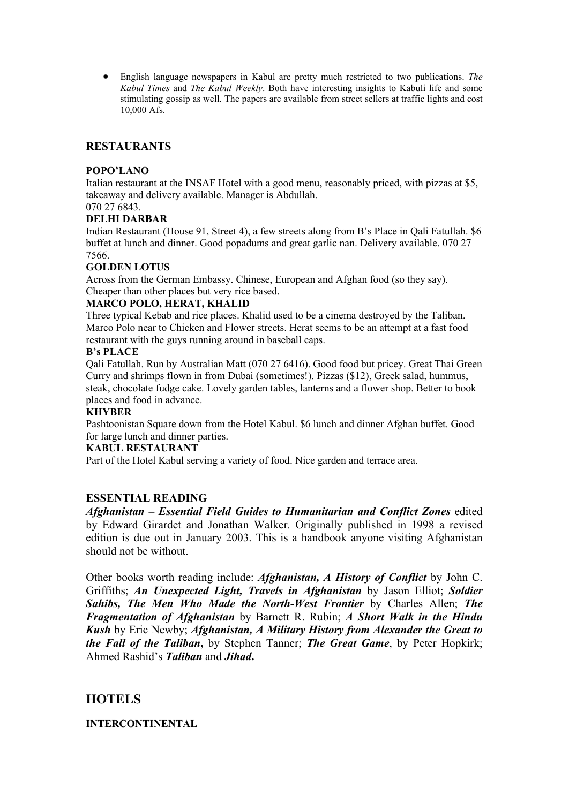• English language newspapers in Kabul are pretty much restricted to two publications. *The Kabul Times* and *The Kabul Weekly*. Both have interesting insights to Kabuli life and some stimulating gossip as well. The papers are available from street sellers at traffic lights and cost 10,000 Afs.

# **RESTAURANTS**

# **POPO'LANO**

Italian restaurant at the INSAF Hotel with a good menu, reasonably priced, with pizzas at \$5, takeaway and delivery available. Manager is Abdullah.

# 070 27 6843.

# **DELHI DARBAR**

Indian Restaurant (House 91, Street 4), a few streets along from B's Place in Qali Fatullah. \$6 buffet at lunch and dinner. Good popadums and great garlic nan. Delivery available. 070 27 7566.

# **GOLDEN LOTUS**

Across from the German Embassy. Chinese, European and Afghan food (so they say). Cheaper than other places but very rice based.

# **MARCO POLO, HERAT, KHALID**

Three typical Kebab and rice places. Khalid used to be a cinema destroyed by the Taliban. Marco Polo near to Chicken and Flower streets. Herat seems to be an attempt at a fast food restaurant with the guys running around in baseball caps.

# **B's PLACE**

Qali Fatullah. Run by Australian Matt (070 27 6416). Good food but pricey. Great Thai Green Curry and shrimps flown in from Dubai (sometimes!). Pizzas (\$12), Greek salad, hummus, steak, chocolate fudge cake. Lovely garden tables, lanterns and a flower shop. Better to book places and food in advance.

# **KHYBER**

Pashtoonistan Square down from the Hotel Kabul. \$6 lunch and dinner Afghan buffet. Good for large lunch and dinner parties.

# **KABUL RESTAURANT**

Part of the Hotel Kabul serving a variety of food. Nice garden and terrace area.

# **ESSENTIAL READING**

*Afghanistan – Essential Field Guides to Humanitarian and Conflict Zones* edited by Edward Girardet and Jonathan Walker*.* Originally published in 1998 a revised edition is due out in January 2003. This is a handbook anyone visiting Afghanistan should not be without.

Other books worth reading include: *Afghanistan, A History of Conflict* by John C. Griffiths; *An Unexpected Light, Travels in Afghanistan* by Jason Elliot; *Soldier Sahibs, The Men Who Made the North-West Frontier* by Charles Allen; *The Fragmentation of Afghanistan* by Barnett R. Rubin; *A Short Walk in the Hindu Kush* by Eric Newby; *Afghanistan, A Military History from Alexander the Great to the Fall of the Taliban***,** by Stephen Tanner; *The Great Game*, by Peter Hopkirk; Ahmed Rashid's *Taliban* and *Jihad***.**

# **HOTELS**

# **INTERCONTINENTAL**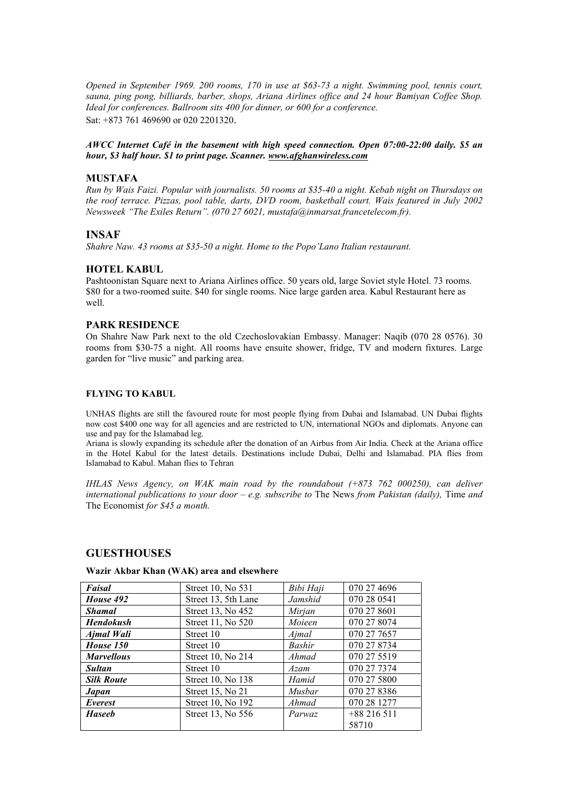*Opened in September 1969. 200 rooms, 170 in use at \$63-73 a night. Swimming pool, tennis court, sauna, ping pong, billiards, barber, shops, Ariana Airlines office and 24 hour Bamiyan Coffee Shop. Ideal for conferences. Ballroom sits 400 for dinner, or 600 for a conference.*  Sat: +873 761 469690 or 020 2201320.

# *AWCC Internet Café in the basement with high speed connection. Open 07:00-22:00 daily. \$5 an hour, \$3 half hour. \$1 to print page. Scanner. [www.afghanwireless.com](http://www.afghanwireless.com/)*

# **MUSTAFA**

*Run by Wais Faizi. Popular with journalists. 50 rooms at \$35-40 a night. Kebab night on Thursdays on the roof terrace. Pizzas, pool table, darts, DVD room, basketball court. Wais featured in July 2002 Newsweek "The Exiles Return". (070 27 6021, mustafa@inmarsat.francetelecom.fr).*

# **INSAF**

*Shahre Naw. 43 rooms at \$35-50 a night. Home to the Popo'Lano Italian restaurant.*

# **HOTEL KABUL**

Pashtoonistan Square next to Ariana Airlines office. 50 years old, large Soviet style Hotel. 73 rooms. \$80 for a two-roomed suite. \$40 for single rooms. Nice large garden area. Kabul Restaurant here as well.

# **PARK RESIDENCE**

On Shahre Naw Park next to the old Czechoslovakian Embassy. Manager: Naqib (070 28 0576). 30 rooms from \$30-75 a night. All rooms have ensuite shower, fridge, TV and modern fixtures. Large garden for "live music" and parking area.

### **FLYING TO KABUL**

UNHAS flights are still the favoured route for most people flying from Dubai and Islamabad. UN Dubai flights now cost \$400 one way for all agencies and are restricted to UN, international NGOs and diplomats. Anyone can use and pay for the Islamabad leg.

Ariana is slowly expanding its schedule after the donation of an Airbus from Air India. Check at the Ariana office in the Hotel Kabul for the latest details. Destinations include Dubai, Delhi and Islamabad. PIA flies from Islamabad to Kabul. Mahan flies to Tehran

*IHLAS News Agency, on WAK main road by the roundabout (+873 762 000250), can deliver international publications to your door – e.g. subscribe to* The News *from Pakistan (daily),* Time *and*  The Economist *for \$45 a month.*

# **GUESTHOUSES**

# **Wazir Akbar Khan (WAK) area and elsewhere**

| Faisal            | Street 10, No 531   | Bibi Haji | 070 27 4696 |
|-------------------|---------------------|-----------|-------------|
| House 492         | Street 13, 5th Lane | Jamshid   | 070 28 0541 |
| <b>Shamal</b>     | Street 13, No 452   | Mirjan    | 070 27 8601 |
| <b>Hendokush</b>  | Street 11, No 520   | Moieen    | 070 27 8074 |
| Ajmal Wali        | Street 10           | Ajmal     | 070 27 7657 |
| House 150         | Street 10           | Bashir    | 070 27 8734 |
| <b>Marvellous</b> | Street 10, No 214   | Ahmad     | 070 27 5519 |
| <b>Sultan</b>     | Street 10           | Azam      | 070 27 7374 |
| <b>Silk Route</b> | Street 10, No 138   | Hamid     | 070 27 5800 |
| <b>Japan</b>      | Street 15, No 21    | Musbar    | 070 27 8386 |
| Everest           | Street 10, No 192   | Ahmad     | 070 28 1277 |
| <b>Haseeb</b>     | Street 13, No 556   | Parwaz    | $+88216511$ |
|                   |                     |           | 58710       |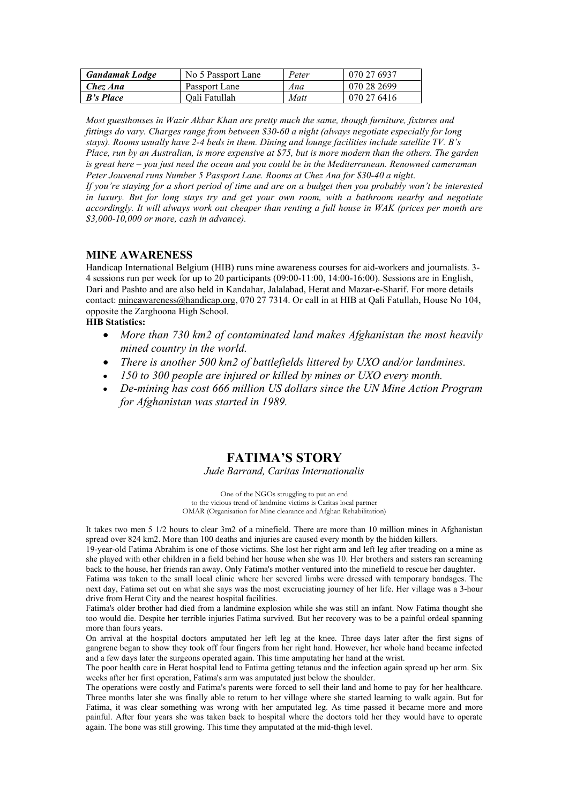| <b>Gandamak</b> Lodge | No 5 Passport Lane | Peter | 070 27 6937 |
|-----------------------|--------------------|-------|-------------|
| Chez Ana              | Passport Lane      | Ana   | 070 28 2699 |
| <b>B's Place</b>      | Oali Fatullah      | Matt  | 070 27 6416 |

*Most guesthouses in Wazir Akbar Khan are pretty much the same, though furniture, fixtures and fittings do vary. Charges range from between \$30-60 a night (always negotiate especially for long stays). Rooms usually have 2-4 beds in them. Dining and lounge facilities include satellite TV. B's Place, run by an Australian, is more expensive at \$75, but is more modern than the others. The garden is great here – you just need the ocean and you could be in the Mediterranean. Renowned cameraman Peter Jouvenal runs Number 5 Passport Lane. Rooms at Chez Ana for \$30-40 a night*.

*If you're staying for a short period of time and are on a budget then you probably won't be interested in luxury. But for long stays try and get your own room, with a bathroom nearby and negotiate accordingly. It will always work out cheaper than renting a full house in WAK (prices per month are \$3,000-10,000 or more, cash in advance).*

# **MINE AWARENESS**

Handicap International Belgium (HIB) runs mine awareness courses for aid-workers and journalists. 3- 4 sessions run per week for up to 20 participants (09:00-11:00, 14:00-16:00). Sessions are in English, Dari and Pashto and are also held in Kandahar, Jalalabad, Herat and Mazar-e-Sharif. For more details contact: [mineawareness@handicap.org,](mailto:mineawareness@handicap.org) 070 27 7314. Or call in at HIB at Qali Fatullah, House No 104, opposite the Zarghoona High School.

# **HIB Statistics:**

- *More than 730 km2 of contaminated land makes Afghanistan the most heavily mined country in the world.*
- *There is another 500 km2 of battlefields littered by UXO and/or landmines.*
- *150 to 300 people are injured or killed by mines or UXO every month.*
- *De-mining has cost 666 million US dollars since the UN Mine Action Program for Afghanistan was started in 1989.*

# **FATIMA'S STORY**

### *Jude Barrand, Caritas Internationalis*

One of the NGOs struggling to put an end to the vicious trend of landmine victims is Caritas local partner OMAR (Organisation for Mine clearance and Afghan Rehabilitation)

It takes two men 5 1/2 hours to clear 3m2 of a minefield. There are more than 10 million mines in Afghanistan spread over 824 km2. More than 100 deaths and injuries are caused every month by the hidden killers.

19-year-old Fatima Abrahim is one of those victims. She lost her right arm and left leg after treading on a mine as she played with other children in a field behind her house when she was 10. Her brothers and sisters ran screaming back to the house, her friends ran away. Only Fatima's mother ventured into the minefield to rescue her daughter.

Fatima was taken to the small local clinic where her severed limbs were dressed with temporary bandages. The next day, Fatima set out on what she says was the most excruciating journey of her life. Her village was a 3-hour drive from Herat City and the nearest hospital facilities.

Fatima's older brother had died from a landmine explosion while she was still an infant. Now Fatima thought she too would die. Despite her terrible injuries Fatima survived. But her recovery was to be a painful ordeal spanning more than fours years.

On arrival at the hospital doctors amputated her left leg at the knee. Three days later after the first signs of gangrene began to show they took off four fingers from her right hand. However, her whole hand became infected and a few days later the surgeons operated again. This time amputating her hand at the wrist.

The poor health care in Herat hospital lead to Fatima getting tetanus and the infection again spread up her arm. Six weeks after her first operation, Fatima's arm was amputated just below the shoulder.

The operations were costly and Fatima's parents were forced to sell their land and home to pay for her healthcare. Three months later she was finally able to return to her village where she started learning to walk again. But for Fatima, it was clear something was wrong with her amputated leg. As time passed it became more and more painful. After four years she was taken back to hospital where the doctors told her they would have to operate again. The bone was still growing. This time they amputated at the mid-thigh level.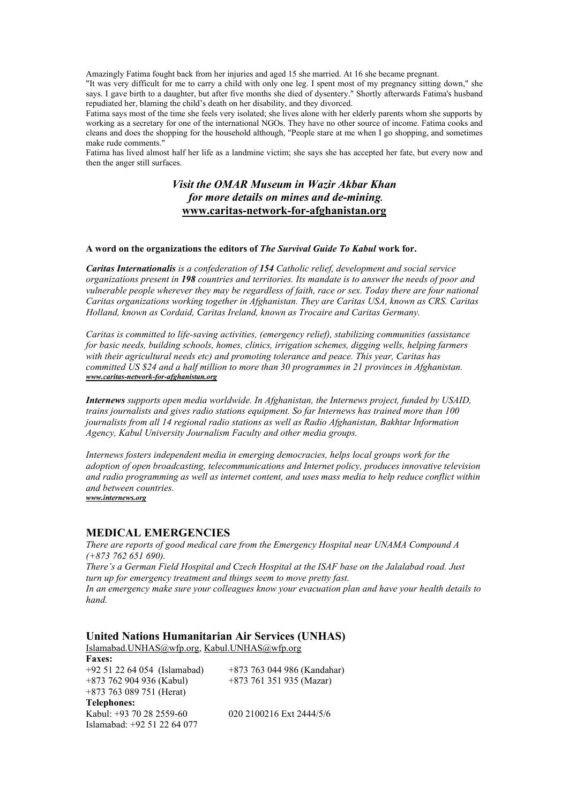Amazingly Fatima fought back from her injuries and aged 15 she married. At 16 she became pregnant.

"It was very difficult for me to carry a child with only one leg. I spent most of my pregnancy sitting down," she says. I gave birth to a daughter, but after five months she died of dysentery." Shortly afterwards Fatima's husband repudiated her, blaming the child's death on her disability, and they divorced.

Fatima says most of the time she feels very isolated; she lives alone with her elderly parents whom she supports by working as a secretary for one of the international NGOs. They have no other source of income. Fatima cooks and cleans and does the shopping for the household although, "People stare at me when I go shopping, and sometimes make rude comments."

Fatima has lived almost half her life as a landmine victim; she says she has accepted her fate, but every now and then the anger still surfaces.

# *Visit the OMAR Museum in Wazir Akbar Khan for more details on mines and de-mining.* **[www.caritas-network-for-afghanistan.org](http://www.caritas-network-for-afghanistan.org/)**

### **A word on the organizations the editors of** *The Survival Guide To Kabul* **work for.**

*Caritas Internationalis is a confederation of 154 Catholic relief, development and social service organizations present in 198 countries and territories. Its mandate is to answer the needs of poor and vulnerable people wherever they may be regardless of faith, race or sex. Today there are four national Caritas organizations working together in Afghanistan. They are Caritas USA, known as CRS. Caritas Holland, known as Cordaid, Caritas Ireland, known as Trocaire and Caritas Germany.*

*Caritas is committed to life-saving activities, (emergency relief), stabilizing communities (assistance for basic needs, building schools, homes, clinics, irrigation schemes, digging wells, helping farmers with their agricultural needs etc) and promoting tolerance and peace. This year, Caritas has committed US \$24 and a half million to more than 30 programmes in 21 provinces in Afghanistan. [www.caritas-network-for-afghanistan.org](http://www.caritas-network-for-afghanistan.org/)*

*Internews supports open media worldwide. In Afghanistan, the Internews project, funded by USAID, trains journalists and gives radio stations equipment. So far Internews has trained more than 100 journalists from all 14 regional radio stations as well as Radio Afghanistan, Bakhtar Information Agency, Kabul University Journalism Faculty and other media groups.*

*Internews fosters independent media in emerging democracies, helps local groups work for the adoption of open broadcasting, telecommunications and Internet policy, produces innovative television and radio programming as well as internet content, and uses mass media to help reduce conflict within and between countries.*

*[www.internews.org](http://www.internews.org/)*

# **MEDICAL EMERGENCIES**

*There are reports of good medical care from the Emergency Hospital near UNAMA Compound A (+873 762 651 690). There's a German Field Hospital and Czech Hospital at the ISAF base on the Jalalabad road. Just turn up for emergency treatment and things seem to move pretty fast. In an emergency make sure your colleagues know your evacuation plan and have your health details to hand.*

### **United Nations Humanitarian Air Services (UNHAS)**

[Islamabad.UNHAS@wfp.org,](mailto:Islamabad.UNHAS@wfp.org) [Kabul.UNHAS@wfp.org](mailto:Kabul.UNHAS@wfp.org) **Faxes:** +92 51 22 64 054 (Islamabad) +873 763 044 986 (Kandahar) +873 762 904 936 (Kabul) +873 761 351 935 (Mazar) +873 763 089 751 (Herat) **Telephones:** Kabul: +93 70 28 2559-60 020 2100216 Ext 2444/5/6 Islamabad: +92 51 22 64 077